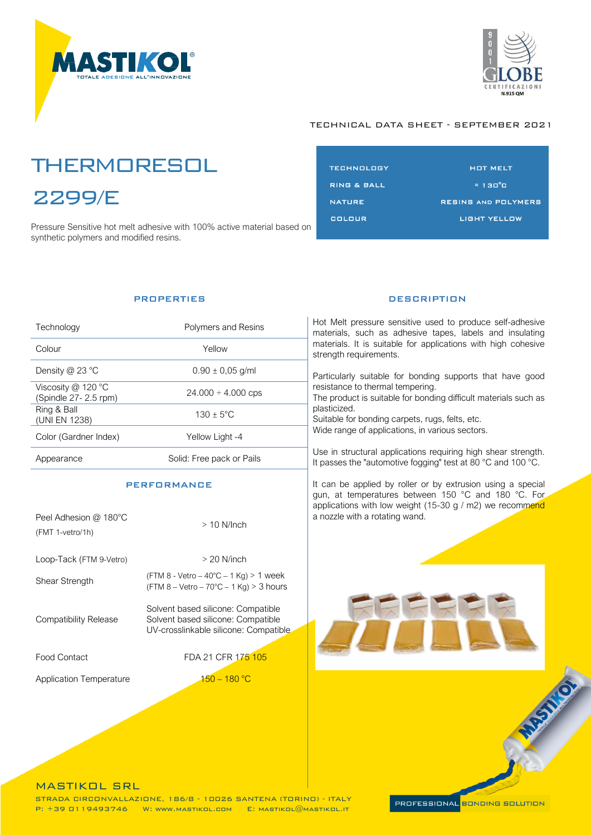



# **THERMORESOL** 2299/E

e<br>2099 Pressure Sensitive hot melt adhesive with 100% active material based on synthetic polymers and modified resins.

| TECHNOLOGY             | <b>HOT MELT</b>            |
|------------------------|----------------------------|
| <b>RING &amp; BALL</b> | $\approx 130^{\circ}$ C    |
| <b>NATURE</b>          | <b>RESINS AND POLYMERS</b> |
| COLOUR                 | <b>LIGHT YELLOW</b>        |
|                        |                            |

### **PROPERTIES**

| Technology                                 | Polymers and Resins       |
|--------------------------------------------|---------------------------|
| Colour                                     | Yellow                    |
| Density $@$ 23 $°C$                        | $0.90 \pm 0.05$ g/ml      |
| Viscosity @ 120 °C<br>(Spindle 27-2.5 rpm) | $24.000 \div 4.000$ cps   |
| Ring & Ball<br>(UNI EN 1238)               | $130 \pm 5^{\circ}$ C     |
| Color (Gardner Index)                      | Yellow Light -4           |
| ppearance                                  | Solid: Free pack or Pails |

### **PERFORMANCE**

| Peel Adhesion @ 180°C<br>(FMT 1-vetro/1h) | $>10$ N/lnch                                                                                                      |
|-------------------------------------------|-------------------------------------------------------------------------------------------------------------------|
| Loop-Tack (FTM 9-Vetro)                   | $>$ 20 N/inch                                                                                                     |
| <b>Shear Strength</b>                     | (FTM 8 - Vetro – 40°C – 1 Kg) > 1 week<br>$(FTM 8 - Vetro - 70°C - 1 Kg) > 3 hours$                               |
| Compatibility Release                     | Solvent based silicone: Compatible<br>Solvent based silicone: Compatible<br>UV-crosslinkable silicone: Compatible |
| <b>Food Contact</b>                       | FDA 21 CFR 175 105                                                                                                |
| <b>Application Temperature</b>            | $150 - 180$ °C                                                                                                    |

### **DESCRIPTION**

Hot Melt pressure sensitive used to produce self-adhesive materials, such as adhesive tapes, labels and insulating materials. It is suitable for applications with high cohesive strength requirements.

Particularly suitable for bonding supports that have good resistance to thermal tempering. The product is suitable for bonding difficult materials such as

plasticized.

Suitable for bonding carpets, rugs, felts, etc. Wide range of applications, in various sectors.

Use in structural applications requiring high shear strength. It passes the "automotive fogging" test at 80 °C and 100 °C.

It can be applied by roller or by extrusion using a special gun, at temperatures between 150 °C and 180 °C. For applications with low weight (15-30 g / m2) we recommend a nozzle with a rotating wand.



MASTIKOL SRL<br>STRADA CIRCONVALLAZIONE, 186/8 - 10026 SANTENA (TORINO) - ITALY  $\overline{B}$ :  $\pm$  30  $\overline{C}$  110407746 W; www.martikol com  $\overline{E}$ : Martikol  $\widehat{\theta}$ Martikol it  $\mathcal{P}^{\text{max}}_{\text{max}}$  and  $\mathcal{P}^{\text{max}}_{\text{max}}$  with  $\mathcal{P}^{\text{max}}_{\text{max}}$  and  $\mathcal{P}^{\text{max}}_{\text{max}}$ 

PROFESSIONAL <mark>BONDING SOLUTION</mark>